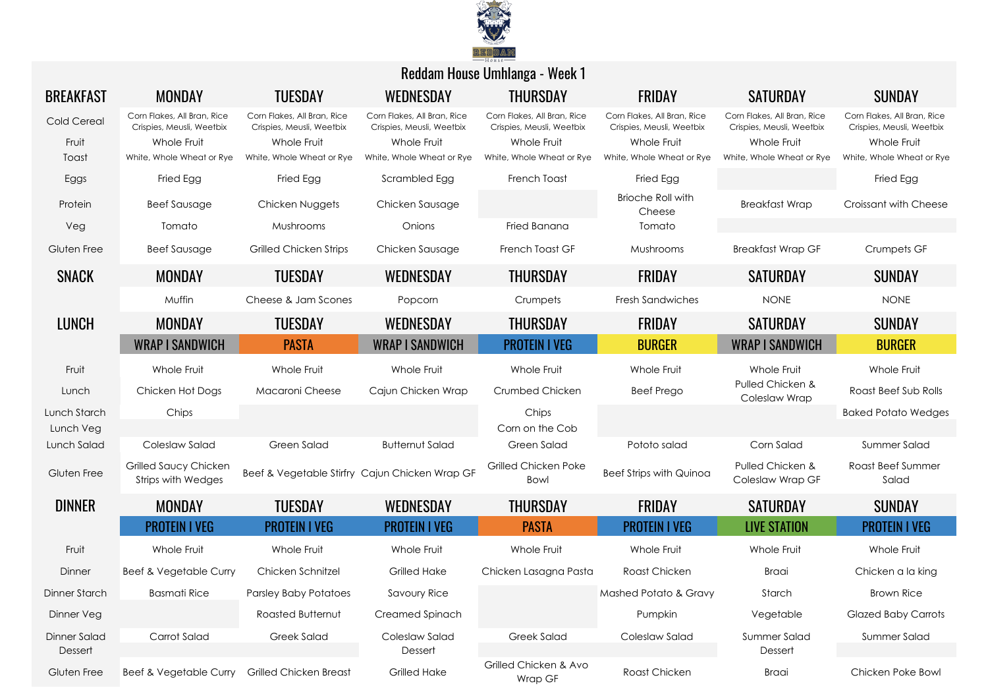

| <b>BREAKFAST</b>          | <b>MONDAY</b>                                            | <b>TUESDAY</b>                                           | WEDNESDAY                                                | <b>THURSDAY</b>                                          | <b>FRIDAY</b>                                            | <b>SATURDAY</b>                                          | <b>SUNDAY</b>                                            |
|---------------------------|----------------------------------------------------------|----------------------------------------------------------|----------------------------------------------------------|----------------------------------------------------------|----------------------------------------------------------|----------------------------------------------------------|----------------------------------------------------------|
| Cold Cereal               | Corn Flakes, All Bran, Rice<br>Crispies, Meusli, Weetbix | Corn Flakes, All Bran, Rice<br>Crispies, Meusli, Weetbix | Corn Flakes, All Bran, Rice<br>Crispies, Meusli, Weetbix | Corn Flakes, All Bran, Rice<br>Crispies, Meusli, Weetbix | Corn Flakes, All Bran, Rice<br>Crispies, Meusli, Weetbix | Corn Flakes, All Bran, Rice<br>Crispies, Meusli, Weetbix | Corn Flakes, All Bran, Rice<br>Crispies, Meusli, Weetbix |
| Fruit                     | Whole Fruit                                              | Whole Fruit                                              | Whole Fruit                                              | Whole Fruit                                              | Whole Fruit                                              | Whole Fruit                                              | Whole Fruit                                              |
| Toast                     | White, Whole Wheat or Rye                                | White, Whole Wheat or Rye                                | White, Whole Wheat or Rye                                | White, Whole Wheat or Rye                                | White, Whole Wheat or Rye                                | White, Whole Wheat or Rye                                | White, Whole Wheat or Rye                                |
| Eggs                      | Fried Egg                                                | Fried Egg                                                | Scrambled Egg                                            | French Toast                                             | Fried Egg                                                |                                                          | Fried Egg                                                |
| Protein                   | <b>Beef Sausage</b>                                      | Chicken Nuggets                                          | Chicken Sausage                                          |                                                          | <b>Brioche Roll with</b><br>Cheese                       | <b>Breakfast Wrap</b>                                    | Croissant with Cheese                                    |
| Veg                       | Tomato                                                   | Mushrooms                                                | Onions                                                   | Fried Banana                                             | Tomato                                                   |                                                          |                                                          |
| Gluten Free               | <b>Beef Sausage</b>                                      | Grilled Chicken Strips                                   | Chicken Sausage                                          | French Toast GF                                          | Mushrooms                                                | <b>Breakfast Wrap GF</b>                                 | Crumpets GF                                              |
| <b>SNACK</b>              | <b>MONDAY</b>                                            | <b>TUESDAY</b>                                           | WEDNESDAY                                                | <b>THURSDAY</b>                                          | <b>FRIDAY</b>                                            | <b>SATURDAY</b>                                          | <b>SUNDAY</b>                                            |
|                           | Muffin                                                   | Cheese & Jam Scones                                      | Popcorn                                                  | Crumpets                                                 | <b>Fresh Sandwiches</b>                                  | <b>NONE</b>                                              | <b>NONE</b>                                              |
| <b>LUNCH</b>              | <b>MONDAY</b>                                            | <b>TUESDAY</b>                                           | WEDNESDAY                                                | <b>THURSDAY</b>                                          | FRIDAY                                                   | <b>SATURDAY</b>                                          | <b>SUNDAY</b>                                            |
|                           | <b>WRAP I SANDWICH</b>                                   | <b>PASTA</b>                                             | <b>WRAP I SANDWICH</b>                                   | <b>PROTEIN I VEG</b>                                     | <b>BURGER</b>                                            | <b>WRAP I SANDWICH</b>                                   | <b>BURGER</b>                                            |
| Fruit                     | Whole Fruit                                              | Whole Fruit                                              | Whole Fruit                                              | Whole Fruit                                              | Whole Fruit                                              | Whole Fruit                                              | Whole Fruit                                              |
| Lunch                     | Chicken Hot Dogs                                         | Macaroni Cheese                                          | Cajun Chicken Wrap                                       | Crumbed Chicken                                          | <b>Beef Prego</b>                                        | Pulled Chicken &<br>Coleslaw Wrap                        | Roast Beef Sub Rolls                                     |
| Lunch Starch<br>Lunch Veg | Chips                                                    |                                                          |                                                          | Chips<br>Corn on the Cob                                 |                                                          |                                                          | <b>Baked Potato Wedges</b>                               |
| Lunch Salad               | Coleslaw Salad                                           | Green Salad                                              | <b>Butternut Salad</b>                                   | Green Salad                                              | Pototo salad                                             | Corn Salad                                               | Summer Salad                                             |
| Gluten Free               | Grilled Saucy Chicken<br>Strips with Wedges              |                                                          | Beef & Vegetable Stirfry Cajun Chicken Wrap GF           | Grilled Chicken Poke<br>Bowl                             | <b>Beef Strips with Quinoa</b>                           | Pulled Chicken &<br>Coleslaw Wrap GF                     | Roast Beef Summer<br>Salad                               |
| <b>DINNER</b>             | <b>MONDAY</b>                                            | <b>TUESDAY</b>                                           | WEDNESDAY                                                | <b>THURSDAY</b>                                          | <b>FRIDAY</b>                                            | <b>SATURDAY</b>                                          | <b>SUNDAY</b>                                            |
|                           | <b>PROTEIN I VEG</b>                                     | <b>PROTEIN I VEG</b>                                     | <b>PROTEIN I VEG</b>                                     | <b>PASTA</b>                                             | <b>PROTEIN I VEG</b>                                     | <b>LIVE STATION</b>                                      | <b>PROTEIN I VEG</b>                                     |
| Fruit                     | Whole Fruit                                              | Whole Fruit                                              | Whole Fruit                                              | Whole Fruit                                              | Whole Fruit                                              | Whole Fruit                                              | Whole Fruit                                              |
| Dinner                    | Beef & Vegetable Curry                                   | Chicken Schnitzel                                        | <b>Grilled Hake</b>                                      | Chicken Lasagna Pasta                                    | Roast Chicken                                            | Braai                                                    | Chicken a la king                                        |
| Dinner Starch             | <b>Basmati Rice</b>                                      | <b>Parsley Baby Potatoes</b>                             | <b>Savoury Rice</b>                                      |                                                          | Mashed Potato & Gravy                                    | Starch                                                   | <b>Brown Rice</b>                                        |
| Dinner Veg                |                                                          | Roasted Butternut                                        | Creamed Spinach                                          |                                                          | Pumpkin                                                  | Vegetable                                                | <b>Glazed Baby Carrots</b>                               |
| Dinner Salad              | Carrot Salad                                             | <b>Greek Salad</b>                                       | Coleslaw Salad                                           | Greek Salad                                              | Coleslaw Salad                                           | Summer Salad                                             | Summer Salad                                             |
| Dessert                   |                                                          |                                                          | Dessert                                                  |                                                          |                                                          | Dessert                                                  |                                                          |
| Gluten Free               | Beef & Vegetable Curry Grilled Chicken Breast            |                                                          | <b>Grilled Hake</b>                                      | Grilled Chicken & Avo<br>Wrap GF                         | Roast Chicken                                            | Braai                                                    | Chicken Poke Bowl                                        |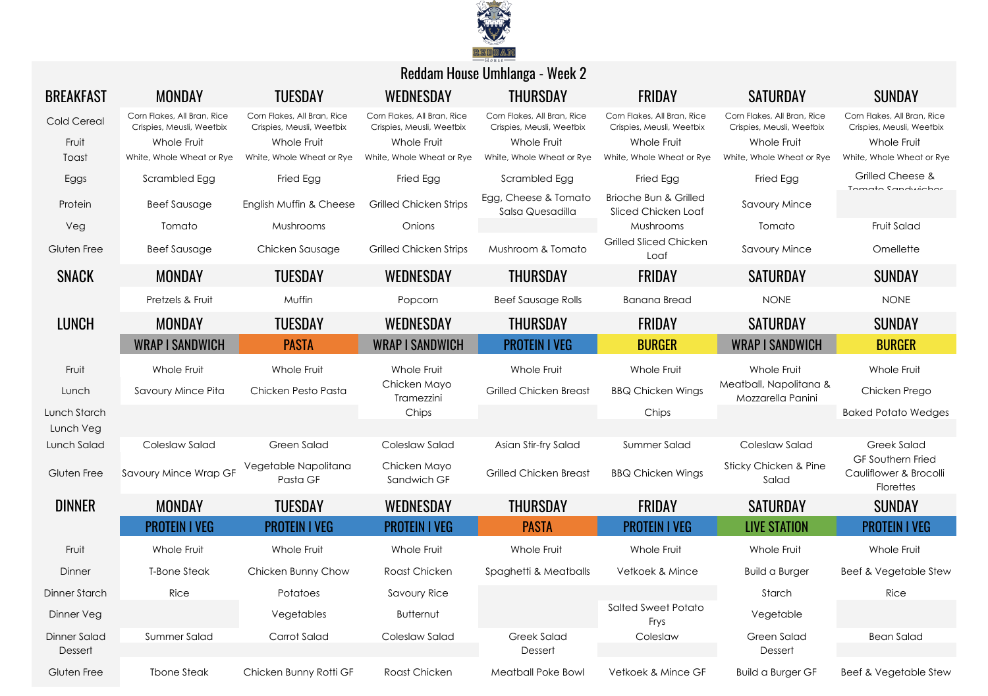

| <b>BREAKFAST</b>          | <b>MONDAY</b>                                            | <b>TUESDAY</b>                                           | WEDNESDAY                                                | <b>THURSDAY</b>                                          | <b>FRIDAY</b>                                            | <b>SATURDAY</b>                                          | <b>SUNDAY</b>                                                   |
|---------------------------|----------------------------------------------------------|----------------------------------------------------------|----------------------------------------------------------|----------------------------------------------------------|----------------------------------------------------------|----------------------------------------------------------|-----------------------------------------------------------------|
| Cold Cereal               | Corn Flakes, All Bran, Rice<br>Crispies, Meusli, Weetbix | Corn Flakes, All Bran, Rice<br>Crispies, Meusli, Weetbix | Corn Flakes, All Bran, Rice<br>Crispies, Meusli, Weetbix | Corn Flakes, All Bran, Rice<br>Crispies, Meusli, Weetbix | Corn Flakes, All Bran, Rice<br>Crispies, Meusli, Weetbix | Corn Flakes, All Bran, Rice<br>Crispies, Meusli, Weetbix | Corn Flakes, All Bran, Rice<br>Crispies, Meusli, Weetbix        |
| Fruit                     | Whole Fruit                                              | Whole Fruit                                              | Whole Fruit                                              | Whole Fruit                                              | Whole Fruit                                              | Whole Fruit                                              | Whole Fruit                                                     |
| Toast                     | White, Whole Wheat or Rye                                | White, Whole Wheat or Rye                                | White, Whole Wheat or Rye                                | White, Whole Wheat or Rye                                | White, Whole Wheat or Rye                                | White, Whole Wheat or Rye                                | White, Whole Wheat or Rye                                       |
| Eggs                      | Scrambled Egg                                            | Fried Egg                                                | Fried Egg                                                | Scrambled Egg                                            | Fried Egg                                                | Fried Egg                                                | Grilled Cheese &<br>Tomato Candwichor                           |
| Protein                   | <b>Beef Sausage</b>                                      | English Muffin & Cheese                                  | <b>Grilled Chicken Strips</b>                            | Egg, Cheese & Tomato<br>Salsa Quesadilla                 | Brioche Bun & Grilled<br>Sliced Chicken Loaf             | Savoury Mince                                            |                                                                 |
| Veg                       | Tomato                                                   | Mushrooms                                                | Onions                                                   |                                                          | Mushrooms                                                | Tomato                                                   | Fruit Salad                                                     |
| Gluten Free               | <b>Beef Sausage</b>                                      | Chicken Sausage                                          | <b>Grilled Chicken Strips</b>                            | Mushroom & Tomato                                        | Grilled Sliced Chicken<br>Loaf                           | <b>Savoury Mince</b>                                     | Omellette                                                       |
| <b>SNACK</b>              | <b>MONDAY</b>                                            | <b>TUESDAY</b>                                           | WEDNESDAY                                                | <b>THURSDAY</b>                                          | <b>FRIDAY</b>                                            | <b>SATURDAY</b>                                          | <b>SUNDAY</b>                                                   |
|                           | Pretzels & Fruit                                         | Muffin                                                   | Popcorn                                                  | <b>Beef Sausage Rolls</b>                                | <b>Banana Bread</b>                                      | <b>NONE</b>                                              | <b>NONE</b>                                                     |
| <b>LUNCH</b>              | <b>MONDAY</b>                                            | <b>TUESDAY</b>                                           | WEDNESDAY                                                | <b>THURSDAY</b>                                          | <b>FRIDAY</b>                                            | <b>SATURDAY</b>                                          | <b>SUNDAY</b>                                                   |
|                           | <b>WRAP I SANDWICH</b>                                   | <b>PASTA</b>                                             | <b>WRAP I SANDWICH</b>                                   | <b>PROTEIN I VEG</b>                                     | <b>BURGER</b>                                            | <b>WRAP I SANDWICH</b>                                   | <b>BURGER</b>                                                   |
| Fruit                     | Whole Fruit                                              | Whole Fruit                                              | Whole Fruit                                              | Whole Fruit                                              | Whole Fruit                                              | Whole Fruit                                              | Whole Fruit                                                     |
| Lunch                     | Savoury Mince Pita                                       | Chicken Pesto Pasta                                      | Chicken Mayo<br>Tramezzini                               | <b>Grilled Chicken Breast</b>                            | <b>BBQ Chicken Wings</b>                                 | Meatball, Napolitana &<br>Mozzarella Panini              | Chicken Prego                                                   |
| Lunch Starch<br>Lunch Veg |                                                          |                                                          | Chips                                                    |                                                          | Chips                                                    |                                                          | <b>Baked Potato Wedges</b>                                      |
| Lunch Salad               | Coleslaw Salad                                           | Green Salad                                              | Coleslaw Salad                                           | Asian Stir-fry Salad                                     | Summer Salad                                             | Coleslaw Salad                                           | Greek Salad                                                     |
| Gluten Free               | Savoury Mince Wrap GF                                    | Vegetable Napolitana<br>Pasta GF                         | Chicken Mayo<br>Sandwich GF                              | <b>Grilled Chicken Breast</b>                            | <b>BBQ Chicken Wings</b>                                 | Sticky Chicken & Pine<br>Salad                           | <b>GF Southern Fried</b><br>Cauliflower & Brocolli<br>Florettes |
| <b>DINNER</b>             | <b>MONDAY</b>                                            | <b>TUESDAY</b>                                           | WEDNESDAY                                                | <b>THURSDAY</b>                                          | <b>FRIDAY</b>                                            | <b>SATURDAY</b>                                          | <b>SUNDAY</b>                                                   |
|                           | <b>PROTEIN I VEG</b>                                     | <b>PROTEIN I VEG</b>                                     | <b>PROTEIN I VEG</b>                                     | <b>PASTA</b>                                             | <b>PROTEIN I VEG</b>                                     | <b>LIVE STATION</b>                                      | <b>PROTEIN I VEG</b>                                            |
| Fruit                     | Whole Fruit                                              | Whole Fruit                                              | Whole Fruit                                              | Whole Fruit                                              | Whole Fruit                                              | Whole Fruit                                              | Whole Fruit                                                     |
| Dinner                    | <b>T-Bone Steak</b>                                      | Chicken Bunny Chow                                       | Roast Chicken                                            | Spaghetti & Meatballs                                    | Vetkoek & Mince                                          | <b>Build a Burger</b>                                    | <b>Beef &amp; Vegetable Stew</b>                                |
| <b>Dinner Starch</b>      | Rice                                                     | Potatoes                                                 | <b>Savoury Rice</b>                                      |                                                          |                                                          | Starch                                                   | Rice                                                            |
| Dinner Veg                |                                                          | Vegetables                                               | Butternut                                                |                                                          | <b>Salted Sweet Potato</b><br>Frys                       | Vegetable                                                |                                                                 |
| Dinner Salad              | Summer Salad                                             | Carrot Salad                                             | Coleslaw Salad                                           | Greek Salad                                              | Coleslaw                                                 | Green Salad                                              | <b>Bean Salad</b>                                               |
| Dessert                   |                                                          |                                                          |                                                          | Dessert                                                  |                                                          | Dessert                                                  |                                                                 |
| Gluten Free               | <b>Tbone Steak</b>                                       | Chicken Bunny Rotti GF                                   | Roast Chicken                                            | Meatball Poke Bowl                                       | Vetkoek & Mince GF                                       | <b>Build a Burger GF</b>                                 | Beef & Vegetable Stew                                           |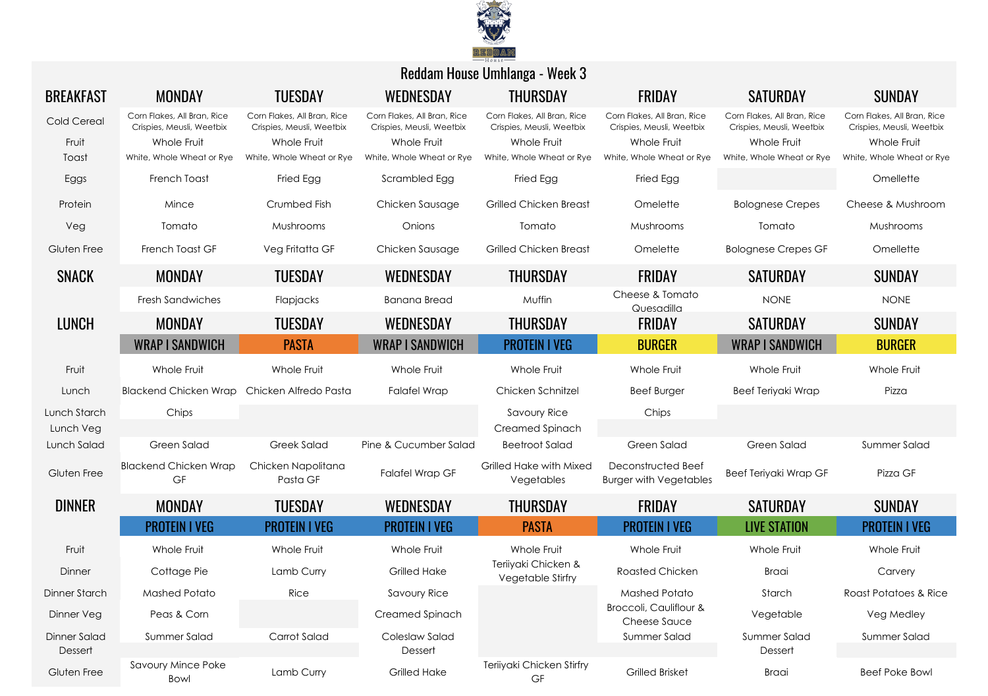

| <b>BREAKFAST</b>          | <b>MONDAY</b>                                                           | <b>TUESDAY</b>                                                          | WEDNESDAY                                                               | <b>THURSDAY</b>                                                         | <b>FRIDAY</b>                                                           | <b>SATURDAY</b>                                                         | <b>SUNDAY</b>                                                           |
|---------------------------|-------------------------------------------------------------------------|-------------------------------------------------------------------------|-------------------------------------------------------------------------|-------------------------------------------------------------------------|-------------------------------------------------------------------------|-------------------------------------------------------------------------|-------------------------------------------------------------------------|
| Cold Cereal<br>Fruit      | Corn Flakes, All Bran, Rice<br>Crispies, Meusli, Weetbix<br>Whole Fruit | Corn Flakes, All Bran, Rice<br>Crispies, Meusli, Weetbix<br>Whole Fruit | Corn Flakes, All Bran, Rice<br>Crispies, Meusli, Weetbix<br>Whole Fruit | Corn Flakes, All Bran, Rice<br>Crispies, Meusli, Weetbix<br>Whole Fruit | Corn Flakes, All Bran, Rice<br>Crispies, Meusli, Weetbix<br>Whole Fruit | Corn Flakes, All Bran, Rice<br>Crispies, Meusli, Weetbix<br>Whole Fruit | Corn Flakes, All Bran, Rice<br>Crispies, Meusli, Weetbix<br>Whole Fruit |
| Toast                     | White, Whole Wheat or Rye                                               | White, Whole Wheat or Rye                                               | White, Whole Wheat or Rye                                               | White, Whole Wheat or Rye                                               | White, Whole Wheat or Rye                                               | White, Whole Wheat or Rye                                               | White, Whole Wheat or Rye                                               |
| Eggs                      | French Toast                                                            | Fried Egg                                                               | Scrambled Egg                                                           | Fried Egg                                                               | Fried Egg                                                               |                                                                         | Omellette                                                               |
| Protein                   | Mince                                                                   | Crumbed Fish                                                            | Chicken Sausage                                                         | <b>Grilled Chicken Breast</b>                                           | Omelette                                                                | <b>Bolognese Crepes</b>                                                 | Cheese & Mushroom                                                       |
| Veg                       | Tomato                                                                  | Mushrooms                                                               | Onions                                                                  | Tomato                                                                  | Mushrooms                                                               | Tomato                                                                  | Mushrooms                                                               |
| Gluten Free               | French Toast GF                                                         | Veg Fritatta GF                                                         | Chicken Sausage                                                         | <b>Grilled Chicken Breast</b>                                           | Omelette                                                                | <b>Bolognese Crepes GF</b>                                              | Omellette                                                               |
| <b>SNACK</b>              | MONDAY                                                                  | <b>TUESDAY</b>                                                          | WEDNESDAY                                                               | <b>THURSDAY</b>                                                         | <b>FRIDAY</b>                                                           | <b>SATURDAY</b>                                                         | <b>SUNDAY</b>                                                           |
|                           | <b>Fresh Sandwiches</b>                                                 | Flapjacks                                                               | <b>Banana Bread</b>                                                     | Muffin                                                                  | Cheese & Tomato<br>Quesadilla                                           | <b>NONE</b>                                                             | <b>NONE</b>                                                             |
| <b>LUNCH</b>              | MONDAY                                                                  | <b>TUESDAY</b>                                                          | WEDNESDAY                                                               | <b>THURSDAY</b>                                                         | FRIDAY                                                                  | <b>SATURDAY</b>                                                         | <b>SUNDAY</b>                                                           |
|                           | <b>WRAP I SANDWICH</b>                                                  | <b>PASTA</b>                                                            | <b>WRAP I SANDWICH</b>                                                  | <b>PROTEIN I VEG</b>                                                    | <b>BURGER</b>                                                           | <b>WRAP I SANDWICH</b>                                                  | <b>BURGER</b>                                                           |
| Fruit                     | Whole Fruit                                                             | Whole Fruit                                                             | Whole Fruit                                                             | Whole Fruit                                                             | Whole Fruit                                                             | Whole Fruit                                                             | Whole Fruit                                                             |
| Lunch                     | <b>Blackend Chicken Wrap</b>                                            | Chicken Alfredo Pasta                                                   | <b>Falafel Wrap</b>                                                     | Chicken Schnitzel                                                       | <b>Beef Burger</b>                                                      | Beef Teriyaki Wrap                                                      | Pizza                                                                   |
| Lunch Starch<br>Lunch Veg | Chips                                                                   |                                                                         |                                                                         | <b>Savoury Rice</b><br>Creamed Spinach                                  | Chips                                                                   |                                                                         |                                                                         |
| Lunch Salad               | Green Salad                                                             | <b>Greek Salad</b>                                                      | Pine & Cucumber Salad                                                   | <b>Beetroot Salad</b>                                                   | Green Salad                                                             | Green Salad                                                             | Summer Salad                                                            |
| Gluten Free               | <b>Blackend Chicken Wrap</b><br>GF                                      | Chicken Napolitana<br>Pasta GF                                          | <b>Falafel Wrap GF</b>                                                  | Grilled Hake with Mixed<br>Vegetables                                   | Deconstructed Beef<br><b>Burger with Vegetables</b>                     | Beef Teriyaki Wrap GF                                                   | Pizza GF                                                                |
| <b>DINNER</b>             | <b>MONDAY</b>                                                           | <b>TUESDAY</b>                                                          | WEDNESDAY                                                               | <b>THURSDAY</b>                                                         | <b>FRIDAY</b>                                                           | <b>SATURDAY</b>                                                         | <b>SUNDAY</b>                                                           |
|                           | <b>PROTEIN I VEG</b>                                                    | <b>PROTEIN I VEG</b>                                                    | <b>PROTEIN I VEG</b>                                                    | <b>PASTA</b>                                                            | <b>PROTEIN I VEG</b>                                                    | <b>LIVE STATION</b>                                                     | <b>PROTEIN I VEG</b>                                                    |
| Fruit                     | Whole Fruit                                                             | Whole Fruit                                                             | Whole Fruit                                                             | Whole Fruit                                                             | Whole Fruit                                                             | Whole Fruit                                                             | Whole Fruit                                                             |
| Dinner                    | Cottage Pie                                                             | Lamb Curry                                                              | Grilled Hake                                                            | Teriiyaki Chicken &<br>Vegetable Stirfry                                | Roasted Chicken                                                         | Braai                                                                   | Carvery                                                                 |
| Dinner Starch             | Mashed Potato                                                           | Rice                                                                    | Savoury Rice                                                            |                                                                         | Mashed Potato                                                           | Starch                                                                  | Roast Potatoes & Rice                                                   |
| Dinner Veg                | Peas & Corn                                                             |                                                                         | Creamed Spinach                                                         |                                                                         | Broccoli, Cauliflour &<br>Cheese Sauce                                  | Vegetable                                                               | Veg Medley                                                              |
| Dinner Salad              | Summer Salad                                                            | Carrot Salad                                                            | Coleslaw Salad                                                          |                                                                         | Summer Salad                                                            | Summer Salad                                                            | Summer Salad                                                            |
| Dessert                   | Savoury Mince Poke                                                      |                                                                         | Dessert                                                                 | Teriiyaki Chicken Stirfry                                               |                                                                         | Dessert                                                                 |                                                                         |
| Gluten Free               | Bowl                                                                    | Lamb Curry                                                              | Grilled Hake                                                            | GF                                                                      | <b>Grilled Brisket</b>                                                  | Braai                                                                   | <b>Beef Poke Bowl</b>                                                   |